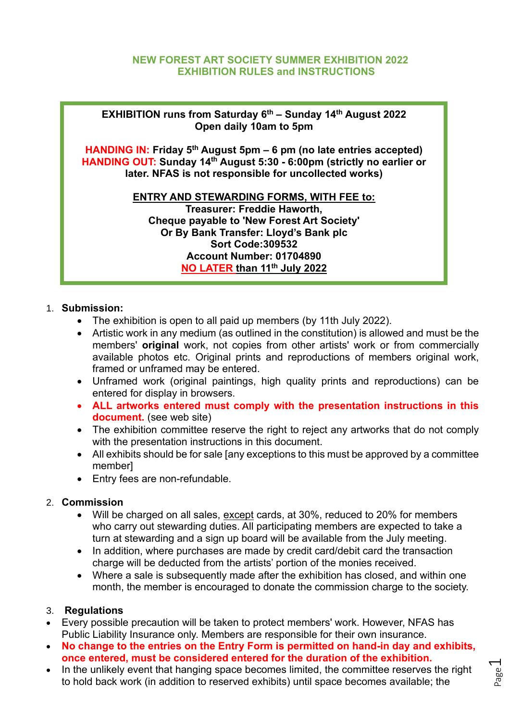## **NEW FOREST ART SOCIETY SUMMER EXHIBITION 2022 EXHIBITION RULES and INSTRUCTIONS**

**EXHIBITION runs from Saturday 6 th – Sunday 14 th August 2022 Open daily 10am to 5pm** 

**HANDING IN: Friday 5 th August 5pm – 6 pm (no late entries accepted) HANDING OUT: Sunday 14 th August 5:30 - 6:00pm (strictly no earlier or later. NFAS is not responsible for uncollected works)**

#### **ENTRY AND STEWARDING FORMS, WITH FEE to:**

**Treasurer: Freddie Haworth, Cheque payable to 'New Forest Art Society' Or By Bank Transfer: Lloyd's Bank plc Sort Code:309532 Account Number: 01704890 NO LATER than 11th July 2022**

## 1. **Submission:**

- The exhibition is open to all paid up members (by 11th July 2022).
- Artistic work in any medium (as outlined in the constitution) is allowed and must be the members' **original** work, not copies from other artists' work or from commercially available photos etc. Original prints and reproductions of members original work, framed or unframed may be entered.
- Unframed work (original paintings, high quality prints and reproductions) can be entered for display in browsers.
- **ALL artworks entered must comply with the presentation instructions in this document.** (see web site)
- The exhibition committee reserve the right to reject any artworks that do not comply with the presentation instructions in this document.
- All exhibits should be for sale [any exceptions to this must be approved by a committee member]
- Entry fees are non-refundable.

## 2. **Commission**

- Will be charged on all sales, except cards, at 30%, reduced to 20% for members who carry out stewarding duties. All participating members are expected to take a turn at stewarding and a sign up board will be available from the July meeting.
- In addition, where purchases are made by credit card/debit card the transaction charge will be deducted from the artists' portion of the monies received.
- Where a sale is subsequently made after the exhibition has closed, and within one month, the member is encouraged to donate the commission charge to the society.

## 3. **Regulations**

- Every possible precaution will be taken to protect members' work. However, NFAS has Public Liability Insurance only. Members are responsible for their own insurance.
- **No change to the entries on the Entry Form is permitted on hand-in day and exhibits, once entered, must be considered entered for the duration of the exhibition.**
- In the unlikely event that hanging space becomes limited, the committee reserves the right to hold back work (in addition to reserved exhibits) until space becomes available; the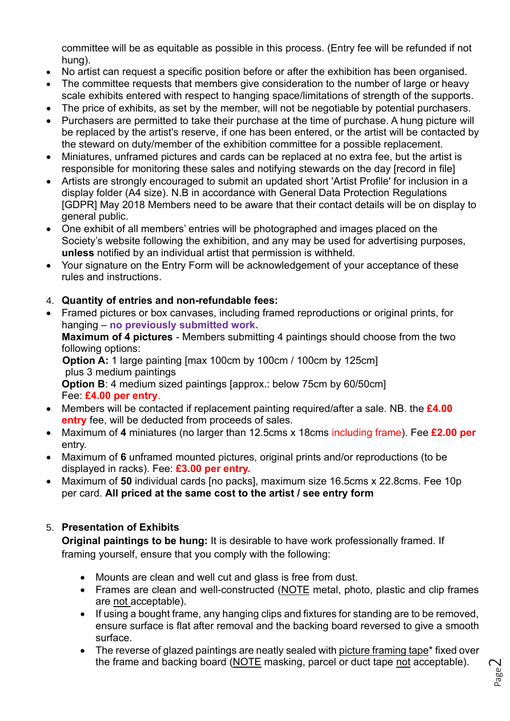committee will be as equitable as possible in this process. (Entry fee will be refunded if not hung).

- No artist can request a specific position before or after the exhibition has been organised.
- The committee requests that members give consideration to the number of large or heavy scale exhibits entered with respect to hanging space/limitations of strength of the supports.
- The price of exhibits, as set by the member, will not be negotiable by potential purchasers.
- Purchasers are permitted to take their purchase at the time of purchase. A hung picture will be replaced by the artist's reserve, if one has been entered, or the artist will be contacted by the steward on duty/member of the exhibition committee for a possible replacement.
- Miniatures, unframed pictures and cards can be replaced at no extra fee, but the artist is responsible for monitoring these sales and notifying stewards on the day [record in file]
- Artists are strongly encouraged to submit an updated short 'Artist Profile' for inclusion in a display folder (A4 size). N.B in accordance with General Data Protection Regulations [GDPR] May 2018 Members need to be aware that their contact details will be on display to general public.
- One exhibit of all members' entries will be photographed and images placed on the Society's website following the exhibition, and any may be used for advertising purposes, **unless** notified by an individual artist that permission is withheld.
- Your signature on the Entry Form will be acknowledgement of your acceptance of these rules and instructions.

# 4. **Quantity of entries and non-refundable fees:**

• Framed pictures or box canvases, including framed reproductions or original prints, for hanging – **no previously submitted work.** 

**Maximum of 4 pictures** - Members submitting 4 paintings should choose from the two following options:

 **Option A:** 1 large painting [max 100cm by 100cm / 100cm by 125cm] plus 3 medium paintings

**Option B: 4 medium sized paintings [approx.: below 75cm by 60/50cm]** Fee: **£4.00 per entry**.

- Members will be contacted if replacement painting required/after a sale. NB. the **£4.00 entry** fee, will be deducted from proceeds of sales.
- Maximum of **4** miniatures (no larger than 12.5cms x 18cms including frame). Fee **£2.00 per** entry.
- Maximum of **6** unframed mounted pictures, original prints and/or reproductions (to be displayed in racks). Fee: **£3.00 per entry.**
- Maximum of **50** individual cards [no packs], maximum size 16.5cms x 22.8cms. Fee 10p per card. **All priced at the same cost to the artist / see entry form**

# 5. **Presentation of Exhibits**

**Original paintings to be hung:** It is desirable to have work professionally framed. If framing yourself, ensure that you comply with the following:

- Mounts are clean and well cut and glass is free from dust.
- Frames are clean and well-constructed (NOTE metal, photo, plastic and clip frames are not acceptable).
- If using a bought frame, any hanging clips and fixtures for standing are to be removed, ensure surface is flat after removal and the backing board reversed to give a smooth surface.
- The reverse of glazed paintings are neatly sealed with picture framing tape\* fixed over the frame and backing board (NOTE masking, parcel or duct tape not acceptable).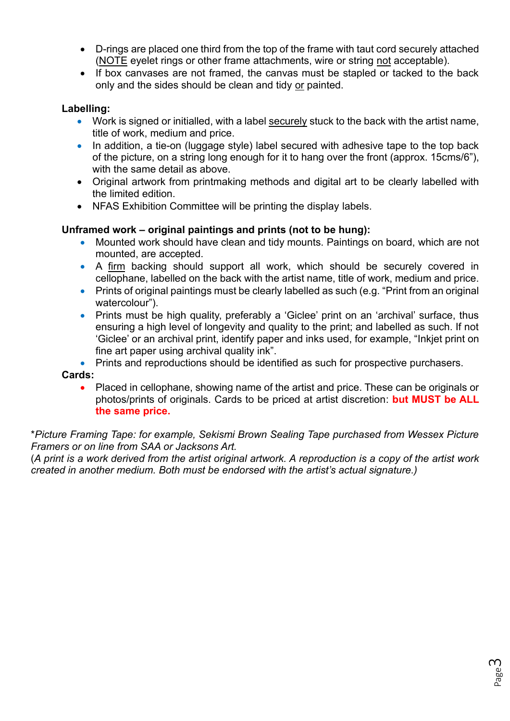- D-rings are placed one third from the top of the frame with taut cord securely attached (NOTE eyelet rings or other frame attachments, wire or string not acceptable).
- If box canvases are not framed, the canvas must be stapled or tacked to the back only and the sides should be clean and tidy or painted.

## **Labelling:**

- Work is signed or initialled, with a label securely stuck to the back with the artist name, title of work, medium and price.
- In addition, a tie-on (luggage style) label secured with adhesive tape to the top back of the picture, on a string long enough for it to hang over the front (approx. 15cms/6"), with the same detail as above.
- Original artwork from printmaking methods and digital art to be clearly labelled with the limited edition.
- NFAS Exhibition Committee will be printing the display labels.

## **Unframed work – original paintings and prints (not to be hung):**

- Mounted work should have clean and tidy mounts. Paintings on board, which are not mounted, are accepted.
- A firm backing should support all work, which should be securely covered in cellophane, labelled on the back with the artist name, title of work, medium and price.
- Prints of original paintings must be clearly labelled as such (e.g. "Print from an original watercolour").
- Prints must be high quality, preferably a 'Giclee' print on an 'archival' surface, thus ensuring a high level of longevity and quality to the print; and labelled as such. If not 'Giclee' or an archival print, identify paper and inks used, for example, "Inkjet print on fine art paper using archival quality ink".
- Prints and reproductions should be identified as such for prospective purchasers.

## **Cards:**

• Placed in cellophane, showing name of the artist and price. These can be originals or photos/prints of originals. Cards to be priced at artist discretion: **but MUST be ALL the same price.**

\**Picture Framing Tape: for example, Sekismi Brown Sealing Tape purchased from Wessex Picture Framers or on line from SAA or Jacksons Art.*

(*A print is a work derived from the artist original artwork. A reproduction is a copy of the artist work created in another medium. Both must be endorsed with the artist's actual signature.)*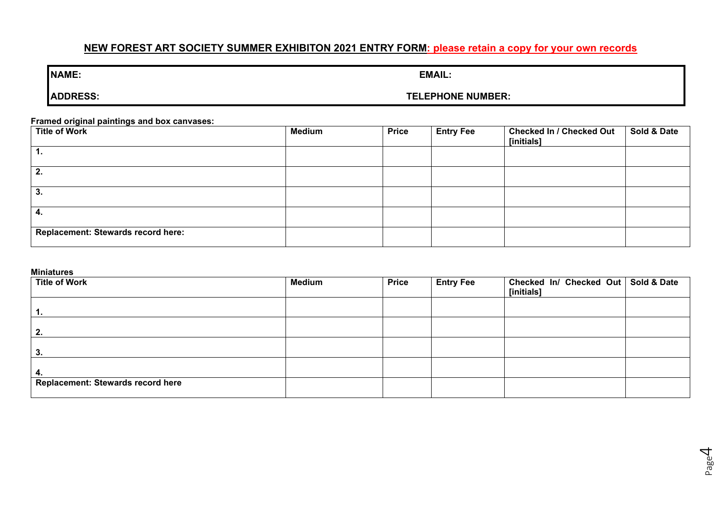# **NEW FOREST ART SOCIETY SUMMER EXHIBITON 2021 ENTRY FORM: please retain a copy for your own records**

### **ADDRESS: TELEPHONE NUMBER:**

#### **Framed original paintings and box canvases:**

| .<br><b>Title of Work</b>          | <b>Medium</b> | <b>Price</b> | <b>Entry Fee</b> | <b>Checked In / Checked Out</b><br>[initials] | Sold & Date |
|------------------------------------|---------------|--------------|------------------|-----------------------------------------------|-------------|
| ъ.                                 |               |              |                  |                                               |             |
| 2.                                 |               |              |                  |                                               |             |
| 3.                                 |               |              |                  |                                               |             |
| 4.                                 |               |              |                  |                                               |             |
| Replacement: Stewards record here: |               |              |                  |                                               |             |

#### **Miniatures**

| <b>Title of Work</b>                     | <b>Medium</b> | <b>Price</b> | <b>Entry Fee</b> | Checked In/ Checked Out   Sold & Date<br>[initials] |  |
|------------------------------------------|---------------|--------------|------------------|-----------------------------------------------------|--|
| -1.                                      |               |              |                  |                                                     |  |
| 2.                                       |               |              |                  |                                                     |  |
| 3.                                       |               |              |                  |                                                     |  |
| 4.                                       |               |              |                  |                                                     |  |
| <b>Replacement: Stewards record here</b> |               |              |                  |                                                     |  |